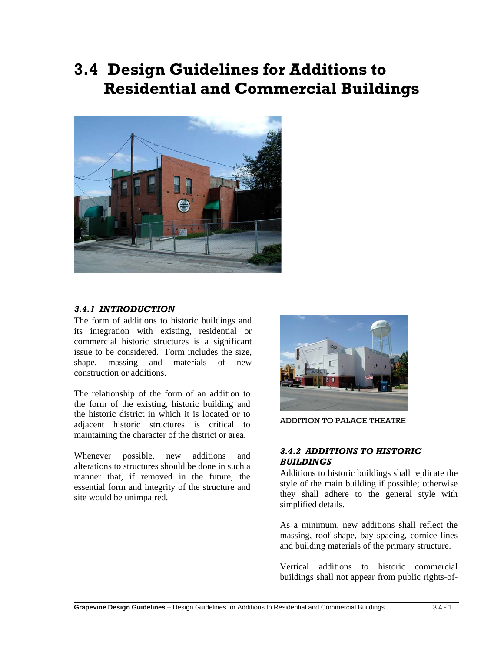# **3.4 Design Guidelines for Additions to Residential and Commercial Buildings**



## *3.4.1 INTRODUCTION*

The form of additions to historic buildings and its integration with existing, residential or commercial historic structures is a significant issue to be considered. Form includes the size, shape, massing and materials of new construction or additions.

The relationship of the form of an addition to the form of the existing, historic building and the historic district in which it is located or to adjacent historic structures is critical to maintaining the character of the district or area.

Whenever possible, new additions and alterations to structures should be done in such a manner that, if removed in the future, the essential form and integrity of the structure and site would be unimpaired.



ADDITION TO PALACE THEATRE

## *3.4.2 ADDITIONS TO HISTORIC BUILDINGS*

Additions to historic buildings shall replicate the style of the main building if possible; otherwise they shall adhere to the general style with simplified details.

As a minimum, new additions shall reflect the massing, roof shape, bay spacing, cornice lines and building materials of the primary structure.

Vertical additions to historic commercial buildings shall not appear from public rights-of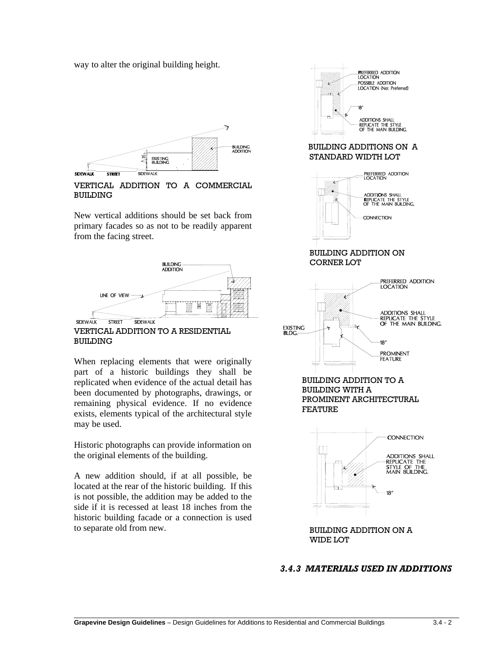way to alter the original building height.



VERTICAL ADDITION TO A COMMERCIAL BUILDING

New vertical additions should be set back from primary facades so as not to be readily apparent from the facing street.



BUILDING

 $\overline{a}$ 

When replacing elements that were originally part of a historic buildings they shall be replicated when evidence of the actual detail has been documented by photographs, drawings, or remaining physical evidence. If no evidence exists, elements typical of the architectural style may be used.

Historic photographs can provide information on the original elements of the building.

A new addition should, if at all possible, be located at the rear of the historic building. If this is not possible, the addition may be added to the side if it is recessed at least 18 inches from the historic building facade or a connection is used to separate old from new.



#### *3.4.3 MATERIALS USED IN ADDITIONS*